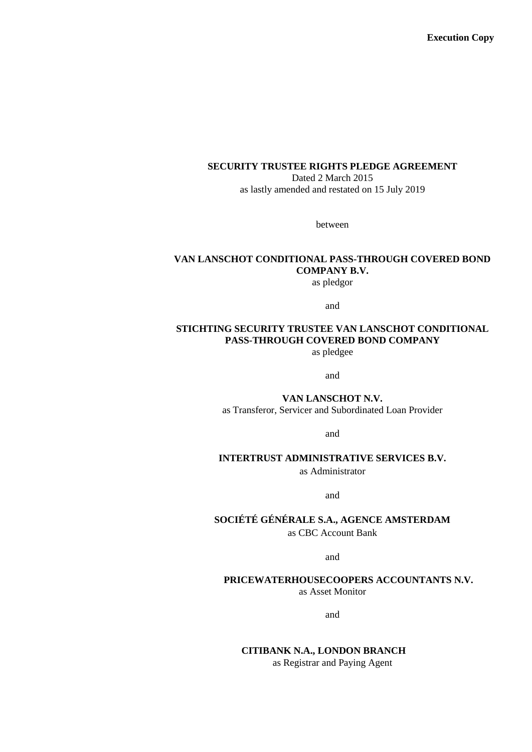**Execution Copy**

#### **SECURITY TRUSTEE RIGHTS PLEDGE AGREEMENT**

Dated 2 March 2015 as lastly amended and restated on 15 July 2019

between

# **VAN LANSCHOT CONDITIONAL PASS-THROUGH COVERED BOND COMPANY B.V.**

as pledgor

and

# **STICHTING SECURITY TRUSTEE VAN LANSCHOT CONDITIONAL PASS-THROUGH COVERED BOND COMPANY**

as pledgee

and

**VAN LANSCHOT N.V.** as Transferor, Servicer and Subordinated Loan Provider

and

#### **INTERTRUST ADMINISTRATIVE SERVICES B.V.**

as Administrator

and

**SOCIÉTÉ GÉNÉRALE S.A., AGENCE AMSTERDAM**

as CBC Account Bank

and

#### **PRICEWATERHOUSECOOPERS ACCOUNTANTS N.V.**

as Asset Monitor

and

#### **CITIBANK N.A., LONDON BRANCH**

as Registrar and Paying Agent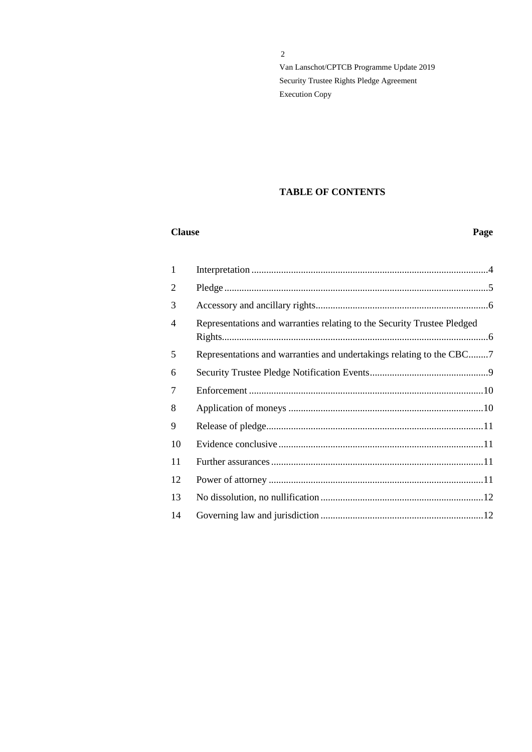# **TABLE OF CONTENTS**

#### **Clause** Page

| $\mathbf{1}$ |                                                                         |  |
|--------------|-------------------------------------------------------------------------|--|
| 2            |                                                                         |  |
| 3            |                                                                         |  |
| 4            | Representations and warranties relating to the Security Trustee Pledged |  |
| 5            | Representations and warranties and undertakings relating to the CBC7    |  |
| 6            |                                                                         |  |
| 7            |                                                                         |  |
| 8            |                                                                         |  |
| 9            |                                                                         |  |
| 10           |                                                                         |  |
| 11           |                                                                         |  |
| 12           |                                                                         |  |
| 13           |                                                                         |  |
| 14           |                                                                         |  |
|              |                                                                         |  |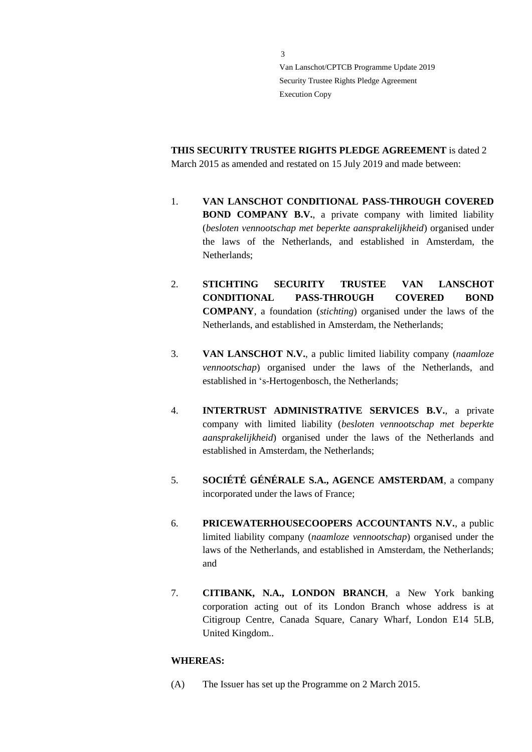**THIS SECURITY TRUSTEE RIGHTS PLEDGE AGREEMENT** is dated 2 March 2015 as amended and restated on 15 July 2019 and made between:

- 1. **VAN LANSCHOT CONDITIONAL PASS-THROUGH COVERED BOND COMPANY B.V.**, a private company with limited liability (*besloten vennootschap met beperkte aansprakelijkheid*) organised under the laws of the Netherlands, and established in Amsterdam, the Netherlands;
- 2. **STICHTING SECURITY TRUSTEE VAN LANSCHOT CONDITIONAL PASS-THROUGH COVERED BOND COMPANY**, a foundation (*stichting*) organised under the laws of the Netherlands, and established in Amsterdam, the Netherlands;
- 3. **VAN LANSCHOT N.V.**, a public limited liability company (*naamloze vennootschap*) organised under the laws of the Netherlands, and established in 's-Hertogenbosch, the Netherlands;
- 4. **INTERTRUST ADMINISTRATIVE SERVICES B.V.**, a private company with limited liability (*besloten vennootschap met beperkte aansprakelijkheid*) organised under the laws of the Netherlands and established in Amsterdam, the Netherlands;
- 5. **SOCIÉTÉ GÉNÉRALE S.A., AGENCE AMSTERDAM**, a company incorporated under the laws of France;
- 6. **PRICEWATERHOUSECOOPERS ACCOUNTANTS N.V.**, a public limited liability company (*naamloze vennootschap*) organised under the laws of the Netherlands, and established in Amsterdam, the Netherlands; and
- 7. **CITIBANK, N.A., LONDON BRANCH**, a New York banking corporation acting out of its London Branch whose address is at Citigroup Centre, Canada Square, Canary Wharf, London E14 5LB, United Kingdom..

# **WHEREAS:**

(A) The Issuer has set up the Programme on 2 March 2015.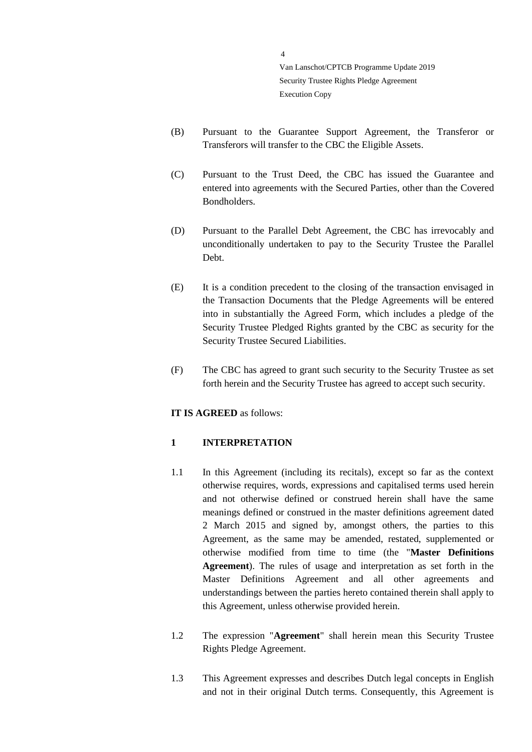(B) Pursuant to the Guarantee Support Agreement, the Transferor or Transferors will transfer to the CBC the Eligible Assets.

4

- (C) Pursuant to the Trust Deed, the CBC has issued the Guarantee and entered into agreements with the Secured Parties, other than the Covered Bondholders.
- (D) Pursuant to the Parallel Debt Agreement, the CBC has irrevocably and unconditionally undertaken to pay to the Security Trustee the Parallel Debt.
- (E) It is a condition precedent to the closing of the transaction envisaged in the Transaction Documents that the Pledge Agreements will be entered into in substantially the Agreed Form, which includes a pledge of the Security Trustee Pledged Rights granted by the CBC as security for the Security Trustee Secured Liabilities.
- (F) The CBC has agreed to grant such security to the Security Trustee as set forth herein and the Security Trustee has agreed to accept such security.

#### **IT IS AGREED** as follows:

#### <span id="page-3-0"></span>**1 INTERPRETATION**

- 1.1 In this Agreement (including its recitals), except so far as the context otherwise requires, words, expressions and capitalised terms used herein and not otherwise defined or construed herein shall have the same meanings defined or construed in the master definitions agreement dated 2 March 2015 and signed by, amongst others, the parties to this Agreement, as the same may be amended, restated, supplemented or otherwise modified from time to time (the "**Master Definitions Agreement**). The rules of usage and interpretation as set forth in the Master Definitions Agreement and all other agreements and understandings between the parties hereto contained therein shall apply to this Agreement, unless otherwise provided herein.
- 1.2 The expression "**Agreement**" shall herein mean this Security Trustee Rights Pledge Agreement.
- 1.3 This Agreement expresses and describes Dutch legal concepts in English and not in their original Dutch terms. Consequently, this Agreement is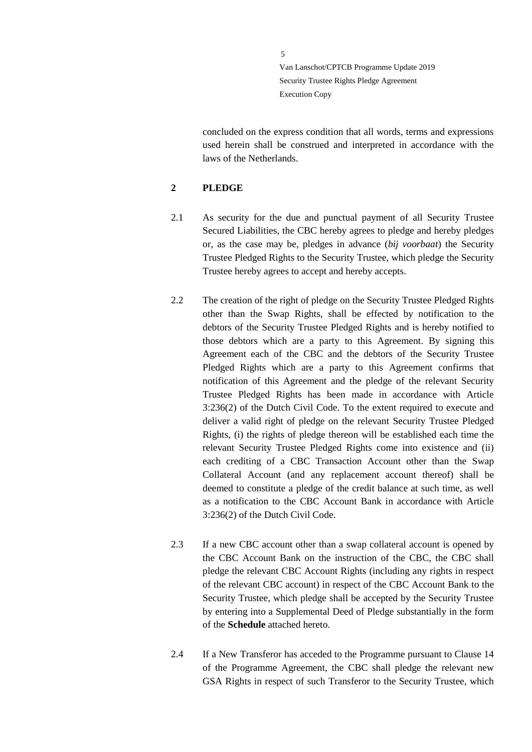concluded on the express condition that all words, terms and expressions used herein shall be construed and interpreted in accordance with the laws of the Netherlands.

#### <span id="page-4-0"></span>**2 PLEDGE**

- 2.1 As security for the due and punctual payment of all Security Trustee Secured Liabilities, the CBC hereby agrees to pledge and hereby pledges or, as the case may be, pledges in advance (*bij voorbaat*) the Security Trustee Pledged Rights to the Security Trustee, which pledge the Security Trustee hereby agrees to accept and hereby accepts.
- 2.2 The creation of the right of pledge on the Security Trustee Pledged Rights other than the Swap Rights, shall be effected by notification to the debtors of the Security Trustee Pledged Rights and is hereby notified to those debtors which are a party to this Agreement. By signing this Agreement each of the CBC and the debtors of the Security Trustee Pledged Rights which are a party to this Agreement confirms that notification of this Agreement and the pledge of the relevant Security Trustee Pledged Rights has been made in accordance with Article 3:236(2) of the Dutch Civil Code. To the extent required to execute and deliver a valid right of pledge on the relevant Security Trustee Pledged Rights, (i) the rights of pledge thereon will be established each time the relevant Security Trustee Pledged Rights come into existence and (ii) each crediting of a CBC Transaction Account other than the Swap Collateral Account (and any replacement account thereof) shall be deemed to constitute a pledge of the credit balance at such time, as well as a notification to the CBC Account Bank in accordance with Article 3:236(2) of the Dutch Civil Code.
- 2.3 If a new CBC account other than a swap collateral account is opened by the CBC Account Bank on the instruction of the CBC, the CBC shall pledge the relevant CBC Account Rights (including any rights in respect of the relevant CBC account) in respect of the CBC Account Bank to the Security Trustee, which pledge shall be accepted by the Security Trustee by entering into a Supplemental Deed of Pledge substantially in the form of the **Schedule** attached hereto.
- 2.4 If a New Transferor has acceded to the Programme pursuant to Clause 14 of the Programme Agreement, the CBC shall pledge the relevant new GSA Rights in respect of such Transferor to the Security Trustee, which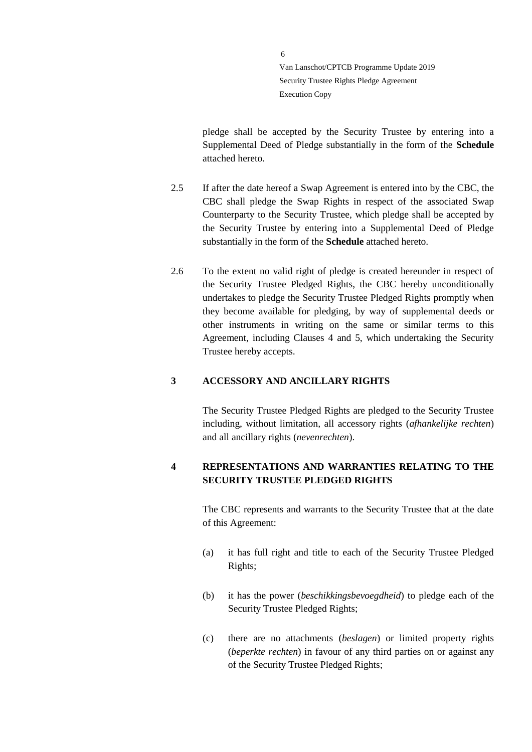pledge shall be accepted by the Security Trustee by entering into a Supplemental Deed of Pledge substantially in the form of the **Schedule**  attached hereto.

- 2.5 If after the date hereof a Swap Agreement is entered into by the CBC, the CBC shall pledge the Swap Rights in respect of the associated Swap Counterparty to the Security Trustee, which pledge shall be accepted by the Security Trustee by entering into a Supplemental Deed of Pledge substantially in the form of the **Schedule** attached hereto.
- 2.6 To the extent no valid right of pledge is created hereunder in respect of the Security Trustee Pledged Rights, the CBC hereby unconditionally undertakes to pledge the Security Trustee Pledged Rights promptly when they become available for pledging, by way of supplemental deeds or other instruments in writing on the same or similar terms to this Agreement, including Clauses 4 and 5, which undertaking the Security Trustee hereby accepts.

### <span id="page-5-0"></span>**3 ACCESSORY AND ANCILLARY RIGHTS**

The Security Trustee Pledged Rights are pledged to the Security Trustee including, without limitation, all accessory rights (*afhankelijke rechten*) and all ancillary rights (*nevenrechten*).

# <span id="page-5-1"></span>**4 REPRESENTATIONS AND WARRANTIES RELATING TO THE SECURITY TRUSTEE PLEDGED RIGHTS**

The CBC represents and warrants to the Security Trustee that at the date of this Agreement:

- (a) it has full right and title to each of the Security Trustee Pledged Rights;
- (b) it has the power (*beschikkingsbevoegdheid*) to pledge each of the Security Trustee Pledged Rights;
- (c) there are no attachments (*beslagen*) or limited property rights (*beperkte rechten*) in favour of any third parties on or against any of the Security Trustee Pledged Rights;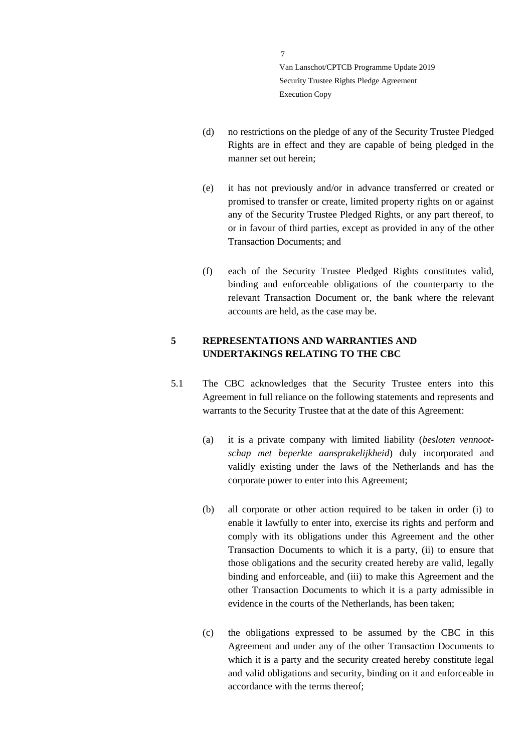- (d) no restrictions on the pledge of any of the Security Trustee Pledged Rights are in effect and they are capable of being pledged in the manner set out herein;
- (e) it has not previously and/or in advance transferred or created or promised to transfer or create, limited property rights on or against any of the Security Trustee Pledged Rights, or any part thereof, to or in favour of third parties, except as provided in any of the other Transaction Documents; and
- (f) each of the Security Trustee Pledged Rights constitutes valid, binding and enforceable obligations of the counterparty to the relevant Transaction Document or, the bank where the relevant accounts are held, as the case may be.

# <span id="page-6-0"></span>**5 REPRESENTATIONS AND WARRANTIES AND UNDERTAKINGS RELATING TO THE CBC**

- 5.1 The CBC acknowledges that the Security Trustee enters into this Agreement in full reliance on the following statements and represents and warrants to the Security Trustee that at the date of this Agreement:
	- (a) it is a private company with limited liability (*besloten vennootschap met beperkte aansprakelijkheid*) duly incorporated and validly existing under the laws of the Netherlands and has the corporate power to enter into this Agreement;
	- (b) all corporate or other action required to be taken in order (i) to enable it lawfully to enter into, exercise its rights and perform and comply with its obligations under this Agreement and the other Transaction Documents to which it is a party, (ii) to ensure that those obligations and the security created hereby are valid, legally binding and enforceable, and (iii) to make this Agreement and the other Transaction Documents to which it is a party admissible in evidence in the courts of the Netherlands, has been taken;
	- (c) the obligations expressed to be assumed by the CBC in this Agreement and under any of the other Transaction Documents to which it is a party and the security created hereby constitute legal and valid obligations and security, binding on it and enforceable in accordance with the terms thereof;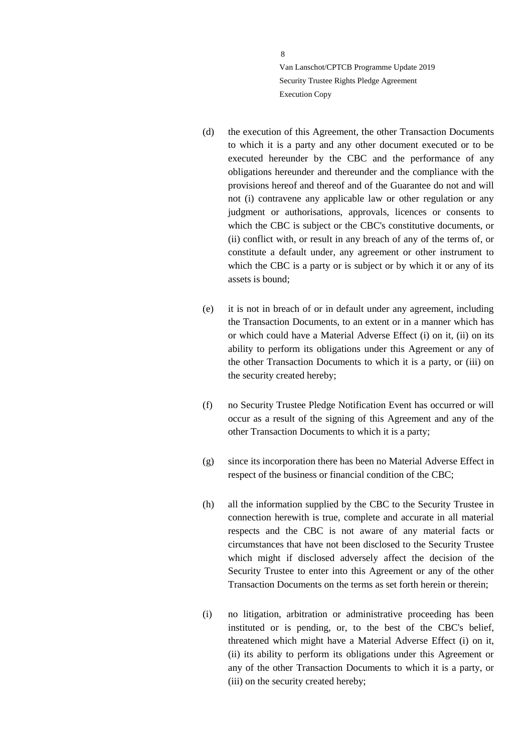- (d) the execution of this Agreement, the other Transaction Documents to which it is a party and any other document executed or to be executed hereunder by the CBC and the performance of any obligations hereunder and thereunder and the compliance with the provisions hereof and thereof and of the Guarantee do not and will not (i) contravene any applicable law or other regulation or any judgment or authorisations, approvals, licences or consents to which the CBC is subject or the CBC's constitutive documents, or (ii) conflict with, or result in any breach of any of the terms of, or constitute a default under, any agreement or other instrument to which the CBC is a party or is subject or by which it or any of its assets is bound;
- (e) it is not in breach of or in default under any agreement, including the Transaction Documents, to an extent or in a manner which has or which could have a Material Adverse Effect (i) on it, (ii) on its ability to perform its obligations under this Agreement or any of the other Transaction Documents to which it is a party, or (iii) on the security created hereby;
- (f) no Security Trustee Pledge Notification Event has occurred or will occur as a result of the signing of this Agreement and any of the other Transaction Documents to which it is a party;
- (g) since its incorporation there has been no Material Adverse Effect in respect of the business or financial condition of the CBC;
- (h) all the information supplied by the CBC to the Security Trustee in connection herewith is true, complete and accurate in all material respects and the CBC is not aware of any material facts or circumstances that have not been disclosed to the Security Trustee which might if disclosed adversely affect the decision of the Security Trustee to enter into this Agreement or any of the other Transaction Documents on the terms as set forth herein or therein;
- (i) no litigation, arbitration or administrative proceeding has been instituted or is pending, or, to the best of the CBC's belief, threatened which might have a Material Adverse Effect (i) on it, (ii) its ability to perform its obligations under this Agreement or any of the other Transaction Documents to which it is a party, or (iii) on the security created hereby;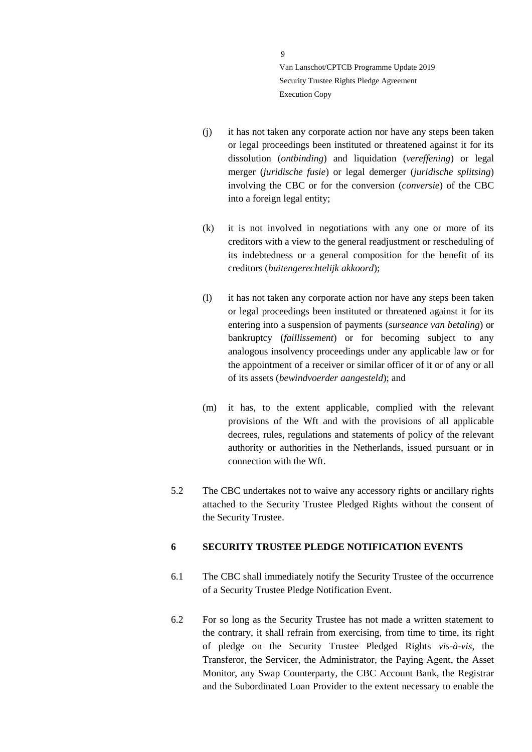- (j) it has not taken any corporate action nor have any steps been taken or legal proceedings been instituted or threatened against it for its dissolution (*ontbinding*) and liquidation (*vereffening*) or legal merger (*juridische fusie*) or legal demerger (*juridische splitsing*) involving the CBC or for the conversion (*conversie*) of the CBC into a foreign legal entity;
- (k) it is not involved in negotiations with any one or more of its creditors with a view to the general readjustment or rescheduling of its indebtedness or a general composition for the benefit of its creditors (*buitengerechtelijk akkoord*);
- (l) it has not taken any corporate action nor have any steps been taken or legal proceedings been instituted or threatened against it for its entering into a suspension of payments (*surseance van betaling*) or bankruptcy (*faillissement*) or for becoming subject to any analogous insolvency proceedings under any applicable law or for the appointment of a receiver or similar officer of it or of any or all of its assets (*bewindvoerder aangesteld*); and
- (m) it has, to the extent applicable, complied with the relevant provisions of the Wft and with the provisions of all applicable decrees, rules, regulations and statements of policy of the relevant authority or authorities in the Netherlands, issued pursuant or in connection with the Wft.
- 5.2 The CBC undertakes not to waive any accessory rights or ancillary rights attached to the Security Trustee Pledged Rights without the consent of the Security Trustee.

#### <span id="page-8-0"></span>**6 SECURITY TRUSTEE PLEDGE NOTIFICATION EVENTS**

- 6.1 The CBC shall immediately notify the Security Trustee of the occurrence of a Security Trustee Pledge Notification Event.
- 6.2 For so long as the Security Trustee has not made a written statement to the contrary, it shall refrain from exercising, from time to time, its right of pledge on the Security Trustee Pledged Rights *vis-à-vis*, the Transferor, the Servicer, the Administrator, the Paying Agent, the Asset Monitor, any Swap Counterparty, the CBC Account Bank, the Registrar and the Subordinated Loan Provider to the extent necessary to enable the

 $\mathbf Q$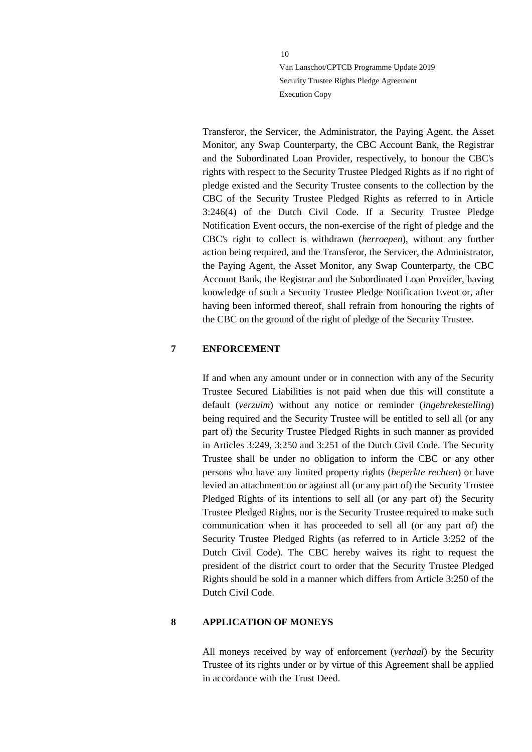Transferor, the Servicer, the Administrator, the Paying Agent, the Asset Monitor, any Swap Counterparty, the CBC Account Bank, the Registrar and the Subordinated Loan Provider, respectively, to honour the CBC's rights with respect to the Security Trustee Pledged Rights as if no right of pledge existed and the Security Trustee consents to the collection by the CBC of the Security Trustee Pledged Rights as referred to in Article 3:246(4) of the Dutch Civil Code. If a Security Trustee Pledge Notification Event occurs, the non-exercise of the right of pledge and the CBC's right to collect is withdrawn (*herroepen*), without any further action being required, and the Transferor, the Servicer, the Administrator, the Paying Agent, the Asset Monitor, any Swap Counterparty, the CBC Account Bank, the Registrar and the Subordinated Loan Provider, having knowledge of such a Security Trustee Pledge Notification Event or, after having been informed thereof, shall refrain from honouring the rights of the CBC on the ground of the right of pledge of the Security Trustee.

#### <span id="page-9-0"></span>**7 ENFORCEMENT**

If and when any amount under or in connection with any of the Security Trustee Secured Liabilities is not paid when due this will constitute a default (*verzuim*) without any notice or reminder (*ingebrekestelling*) being required and the Security Trustee will be entitled to sell all (or any part of) the Security Trustee Pledged Rights in such manner as provided in Articles 3:249, 3:250 and 3:251 of the Dutch Civil Code. The Security Trustee shall be under no obligation to inform the CBC or any other persons who have any limited property rights (*beperkte rechten*) or have levied an attachment on or against all (or any part of) the Security Trustee Pledged Rights of its intentions to sell all (or any part of) the Security Trustee Pledged Rights, nor is the Security Trustee required to make such communication when it has proceeded to sell all (or any part of) the Security Trustee Pledged Rights (as referred to in Article 3:252 of the Dutch Civil Code). The CBC hereby waives its right to request the president of the district court to order that the Security Trustee Pledged Rights should be sold in a manner which differs from Article 3:250 of the Dutch Civil Code.

### <span id="page-9-1"></span>**8 APPLICATION OF MONEYS**

All moneys received by way of enforcement (*verhaal*) by the Security Trustee of its rights under or by virtue of this Agreement shall be applied in accordance with the Trust Deed.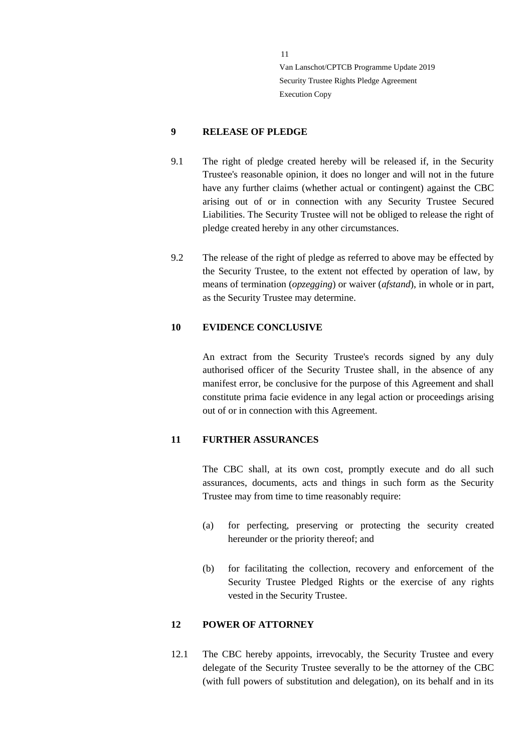### <span id="page-10-0"></span>**9 RELEASE OF PLEDGE**

- 9.1 The right of pledge created hereby will be released if, in the Security Trustee's reasonable opinion, it does no longer and will not in the future have any further claims (whether actual or contingent) against the CBC arising out of or in connection with any Security Trustee Secured Liabilities. The Security Trustee will not be obliged to release the right of pledge created hereby in any other circumstances.
- 9.2 The release of the right of pledge as referred to above may be effected by the Security Trustee, to the extent not effected by operation of law, by means of termination (*opzegging*) or waiver (*afstand*), in whole or in part, as the Security Trustee may determine.

#### <span id="page-10-1"></span>**10 EVIDENCE CONCLUSIVE**

An extract from the Security Trustee's records signed by any duly authorised officer of the Security Trustee shall, in the absence of any manifest error, be conclusive for the purpose of this Agreement and shall constitute prima facie evidence in any legal action or proceedings arising out of or in connection with this Agreement.

#### <span id="page-10-2"></span>**11 FURTHER ASSURANCES**

The CBC shall, at its own cost, promptly execute and do all such assurances, documents, acts and things in such form as the Security Trustee may from time to time reasonably require:

- (a) for perfecting, preserving or protecting the security created hereunder or the priority thereof; and
- (b) for facilitating the collection, recovery and enforcement of the Security Trustee Pledged Rights or the exercise of any rights vested in the Security Trustee.

#### <span id="page-10-3"></span>**12 POWER OF ATTORNEY**

<span id="page-10-4"></span>12.1 The CBC hereby appoints, irrevocably, the Security Trustee and every delegate of the Security Trustee severally to be the attorney of the CBC (with full powers of substitution and delegation), on its behalf and in its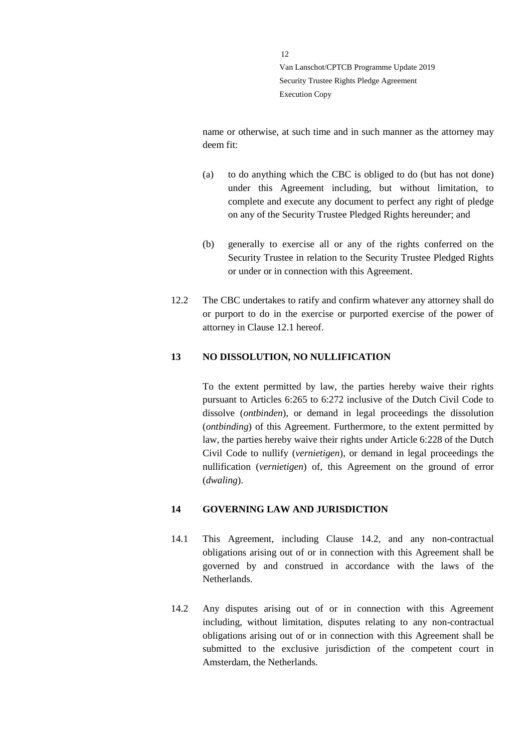name or otherwise, at such time and in such manner as the attorney may deem fit:

- (a) to do anything which the CBC is obliged to do (but has not done) under this Agreement including, but without limitation, to complete and execute any document to perfect any right of pledge on any of the Security Trustee Pledged Rights hereunder; and
- (b) generally to exercise all or any of the rights conferred on the Security Trustee in relation to the Security Trustee Pledged Rights or under or in connection with this Agreement.
- 12.2 The CBC undertakes to ratify and confirm whatever any attorney shall do or purport to do in the exercise or purported exercise of the power of attorney in Clause [12.1](#page-10-4) hereof.

#### <span id="page-11-0"></span>**13 NO DISSOLUTION, NO NULLIFICATION**

To the extent permitted by law, the parties hereby waive their rights pursuant to Articles 6:265 to 6:272 inclusive of the Dutch Civil Code to dissolve (*ontbinden*), or demand in legal proceedings the dissolution (*ontbinding*) of this Agreement. Furthermore, to the extent permitted by law, the parties hereby waive their rights under Article 6:228 of the Dutch Civil Code to nullify (*vernietigen*), or demand in legal proceedings the nullification (*vernietigen*) of, this Agreement on the ground of error (*dwaling*).

#### <span id="page-11-1"></span>**14 GOVERNING LAW AND JURISDICTION**

- 14.1 This Agreement, including Clause [14.2,](#page-11-2) and any non-contractual obligations arising out of or in connection with this Agreement shall be governed by and construed in accordance with the laws of the Netherlands.
- <span id="page-11-2"></span>14.2 Any disputes arising out of or in connection with this Agreement including, without limitation, disputes relating to any non-contractual obligations arising out of or in connection with this Agreement shall be submitted to the exclusive jurisdiction of the competent court in Amsterdam, the Netherlands.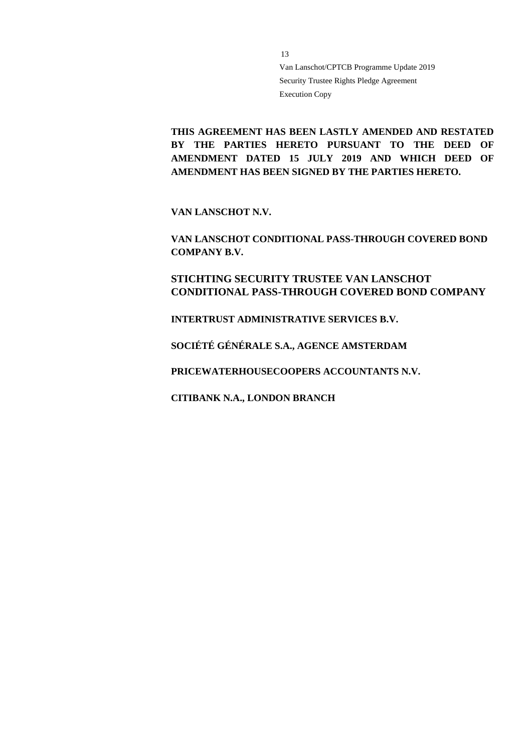**THIS AGREEMENT HAS BEEN LASTLY AMENDED AND RESTATED BY THE PARTIES HERETO PURSUANT TO THE DEED OF AMENDMENT DATED 15 JULY 2019 AND WHICH DEED OF AMENDMENT HAS BEEN SIGNED BY THE PARTIES HERETO.**

**VAN LANSCHOT N.V.**

**VAN LANSCHOT CONDITIONAL PASS-THROUGH COVERED BOND COMPANY B.V.**

**STICHTING SECURITY TRUSTEE VAN LANSCHOT CONDITIONAL PASS-THROUGH COVERED BOND COMPANY**

**INTERTRUST ADMINISTRATIVE SERVICES B.V.**

**SOCIÉTÉ GÉNÉRALE S.A., AGENCE AMSTERDAM**

**PRICEWATERHOUSECOOPERS ACCOUNTANTS N.V.**

**CITIBANK N.A., LONDON BRANCH**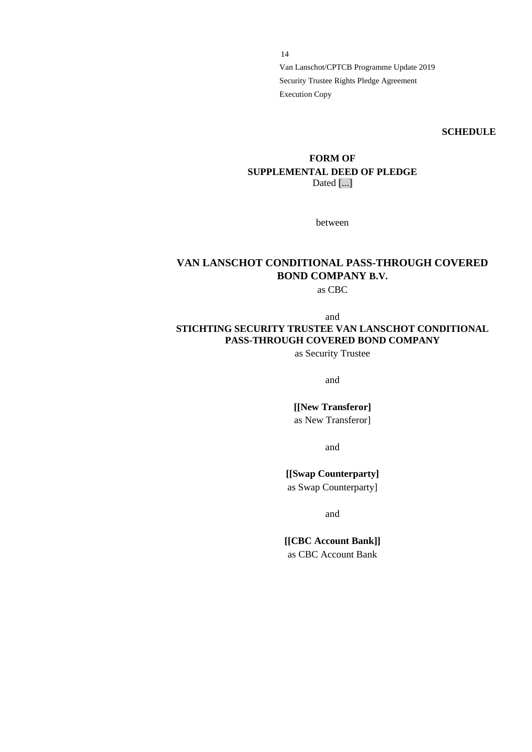**SCHEDULE**

# **FORM OF SUPPLEMENTAL DEED OF PLEDGE** Dated [...]

between

# **VAN LANSCHOT CONDITIONAL PASS-THROUGH COVERED BOND COMPANY B.V.**

as CBC

# and **STICHTING SECURITY TRUSTEE VAN LANSCHOT CONDITIONAL PASS-THROUGH COVERED BOND COMPANY**

as Security Trustee

and

**[[New Transferor]** as New Transferor]

and

# **[[Swap Counterparty]**

as Swap Counterparty]

and

**[[CBC Account Bank]]** as CBC Account Bank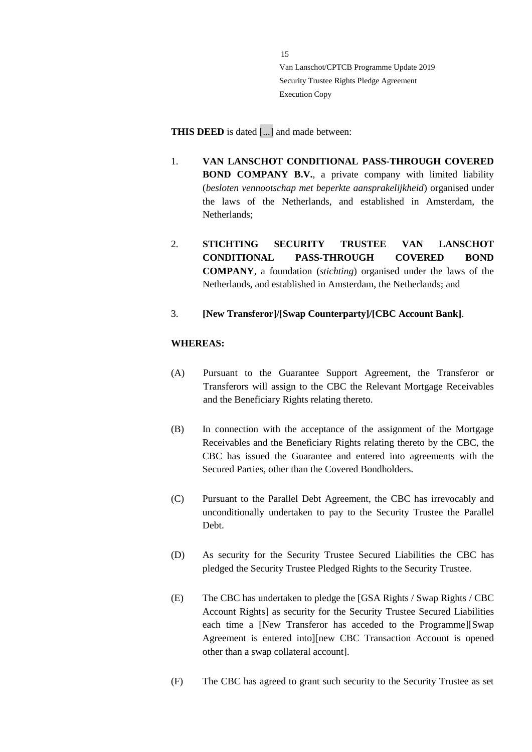**THIS DEED** is dated [...] and made between:

- 1. **VAN LANSCHOT CONDITIONAL PASS-THROUGH COVERED BOND COMPANY B.V.**, a private company with limited liability (*besloten vennootschap met beperkte aansprakelijkheid*) organised under the laws of the Netherlands, and established in Amsterdam, the Netherlands;
- 2. **STICHTING SECURITY TRUSTEE VAN LANSCHOT CONDITIONAL PASS-THROUGH COVERED BOND COMPANY**, a foundation (*stichting*) organised under the laws of the Netherlands, and established in Amsterdam, the Netherlands; and
- 3. **[New Transferor]/[Swap Counterparty]/[CBC Account Bank]**.

# **WHEREAS:**

- (A) Pursuant to the Guarantee Support Agreement, the Transferor or Transferors will assign to the CBC the Relevant Mortgage Receivables and the Beneficiary Rights relating thereto.
- (B) In connection with the acceptance of the assignment of the Mortgage Receivables and the Beneficiary Rights relating thereto by the CBC, the CBC has issued the Guarantee and entered into agreements with the Secured Parties, other than the Covered Bondholders.
- (C) Pursuant to the Parallel Debt Agreement, the CBC has irrevocably and unconditionally undertaken to pay to the Security Trustee the Parallel Debt.
- (D) As security for the Security Trustee Secured Liabilities the CBC has pledged the Security Trustee Pledged Rights to the Security Trustee.
- (E) The CBC has undertaken to pledge the [GSA Rights / Swap Rights / CBC Account Rights] as security for the Security Trustee Secured Liabilities each time a [New Transferor has acceded to the Programme][Swap Agreement is entered into][new CBC Transaction Account is opened other than a swap collateral account].
- (F) The CBC has agreed to grant such security to the Security Trustee as set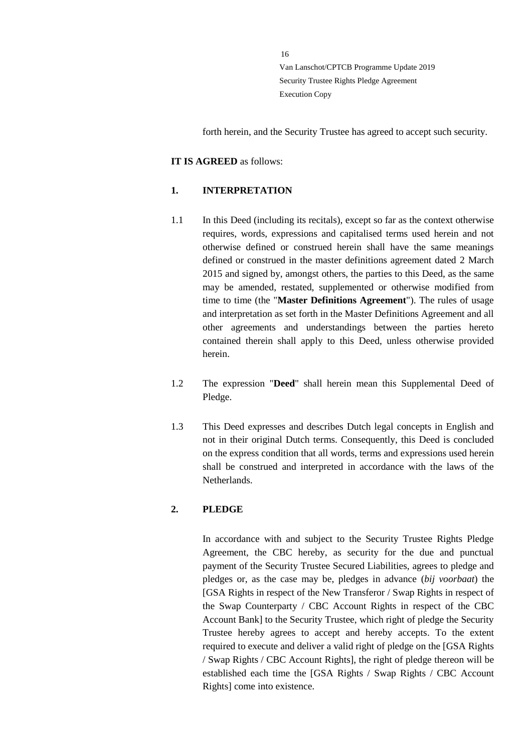forth herein, and the Security Trustee has agreed to accept such security.

#### **IT IS AGREED** as follows:

#### **1. INTERPRETATION**

- 1.1 In this Deed (including its recitals), except so far as the context otherwise requires, words, expressions and capitalised terms used herein and not otherwise defined or construed herein shall have the same meanings defined or construed in the master definitions agreement dated 2 March 2015 and signed by, amongst others, the parties to this Deed, as the same may be amended, restated, supplemented or otherwise modified from time to time (the "**Master Definitions Agreement**"). The rules of usage and interpretation as set forth in the Master Definitions Agreement and all other agreements and understandings between the parties hereto contained therein shall apply to this Deed, unless otherwise provided herein.
- 1.2 The expression "**Deed**" shall herein mean this Supplemental Deed of Pledge.
- 1.3 This Deed expresses and describes Dutch legal concepts in English and not in their original Dutch terms. Consequently, this Deed is concluded on the express condition that all words, terms and expressions used herein shall be construed and interpreted in accordance with the laws of the Netherlands.

#### **2. PLEDGE**

In accordance with and subject to the Security Trustee Rights Pledge Agreement, the CBC hereby, as security for the due and punctual payment of the Security Trustee Secured Liabilities, agrees to pledge and pledges or, as the case may be, pledges in advance (*bij voorbaat*) the [GSA Rights in respect of the New Transferor / Swap Rights in respect of the Swap Counterparty / CBC Account Rights in respect of the CBC Account Bank] to the Security Trustee, which right of pledge the Security Trustee hereby agrees to accept and hereby accepts. To the extent required to execute and deliver a valid right of pledge on the [GSA Rights / Swap Rights / CBC Account Rights], the right of pledge thereon will be established each time the [GSA Rights / Swap Rights / CBC Account Rights] come into existence.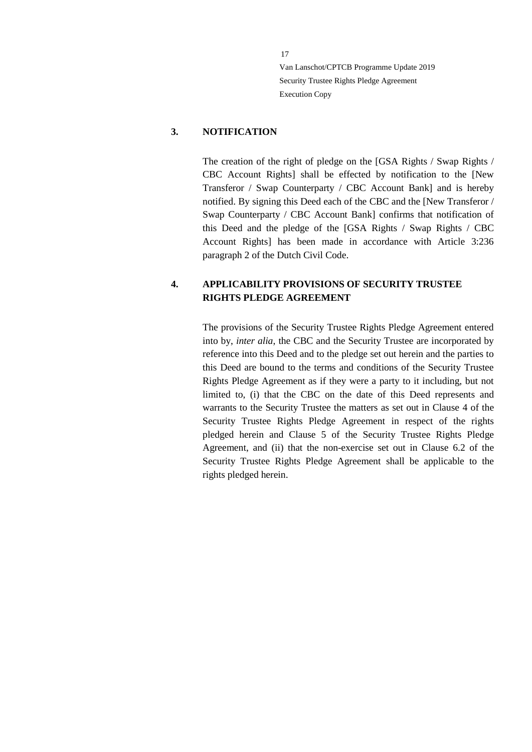#### **3. NOTIFICATION**

The creation of the right of pledge on the [GSA Rights / Swap Rights / CBC Account Rights] shall be effected by notification to the [New Transferor / Swap Counterparty / CBC Account Bank] and is hereby notified. By signing this Deed each of the CBC and the [New Transferor / Swap Counterparty / CBC Account Bank] confirms that notification of this Deed and the pledge of the [GSA Rights / Swap Rights / CBC Account Rights] has been made in accordance with Article 3:236 paragraph 2 of the Dutch Civil Code.

# **4. APPLICABILITY PROVISIONS OF SECURITY TRUSTEE RIGHTS PLEDGE AGREEMENT**

The provisions of the Security Trustee Rights Pledge Agreement entered into by, *inter alia*, the CBC and the Security Trustee are incorporated by reference into this Deed and to the pledge set out herein and the parties to this Deed are bound to the terms and conditions of the Security Trustee Rights Pledge Agreement as if they were a party to it including, but not limited to, (i) that the CBC on the date of this Deed represents and warrants to the Security Trustee the matters as set out in Clause 4 of the Security Trustee Rights Pledge Agreement in respect of the rights pledged herein and Clause 5 of the Security Trustee Rights Pledge Agreement, and (ii) that the non-exercise set out in Clause 6.2 of the Security Trustee Rights Pledge Agreement shall be applicable to the rights pledged herein.